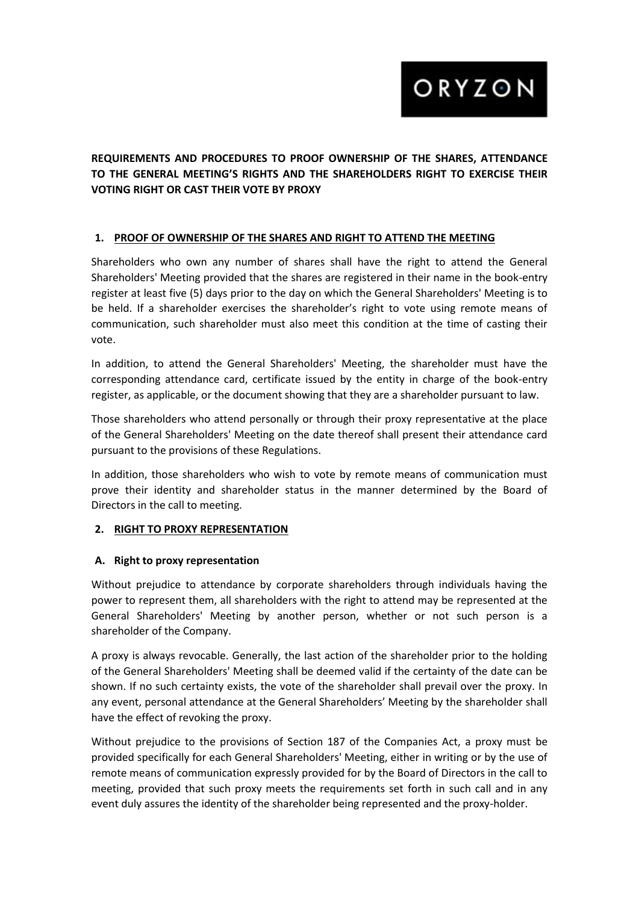ORYZON

**REQUIREMENTS AND PROCEDURES TO PROOF OWNERSHIP OF THE SHARES, ATTENDANCE TO THE GENERAL MEETING'S RIGHTS AND THE SHAREHOLDERS RIGHT TO EXERCISE THEIR VOTING RIGHT OR CAST THEIR VOTE BY PROXY**

#### **1. PROOF OF OWNERSHIP OF THE SHARES AND RIGHT TO ATTEND THE MEETING**

Shareholders who own any number of shares shall have the right to attend the General Shareholders' Meeting provided that the shares are registered in their name in the book-entry register at least five (5) days prior to the day on which the General Shareholders' Meeting is to be held. If a shareholder exercises the shareholder's right to vote using remote means of communication, such shareholder must also meet this condition at the time of casting their vote.

In addition, to attend the General Shareholders' Meeting, the shareholder must have the corresponding attendance card, certificate issued by the entity in charge of the book-entry register, as applicable, or the document showing that they are a shareholder pursuant to law.

Those shareholders who attend personally or through their proxy representative at the place of the General Shareholders' Meeting on the date thereof shall present their attendance card pursuant to the provisions of these Regulations.

In addition, those shareholders who wish to vote by remote means of communication must prove their identity and shareholder status in the manner determined by the Board of Directors in the call to meeting.

#### **2. RIGHT TO PROXY REPRESENTATION**

#### **A. Right to proxy representation**

Without prejudice to attendance by corporate shareholders through individuals having the power to represent them, all shareholders with the right to attend may be represented at the General Shareholders' Meeting by another person, whether or not such person is a shareholder of the Company.

A proxy is always revocable. Generally, the last action of the shareholder prior to the holding of the General Shareholders' Meeting shall be deemed valid if the certainty of the date can be shown. If no such certainty exists, the vote of the shareholder shall prevail over the proxy. In any event, personal attendance at the General Shareholders' Meeting by the shareholder shall have the effect of revoking the proxy.

Without prejudice to the provisions of Section 187 of the Companies Act, a proxy must be provided specifically for each General Shareholders' Meeting, either in writing or by the use of remote means of communication expressly provided for by the Board of Directors in the call to meeting, provided that such proxy meets the requirements set forth in such call and in any event duly assures the identity of the shareholder being represented and the proxy-holder.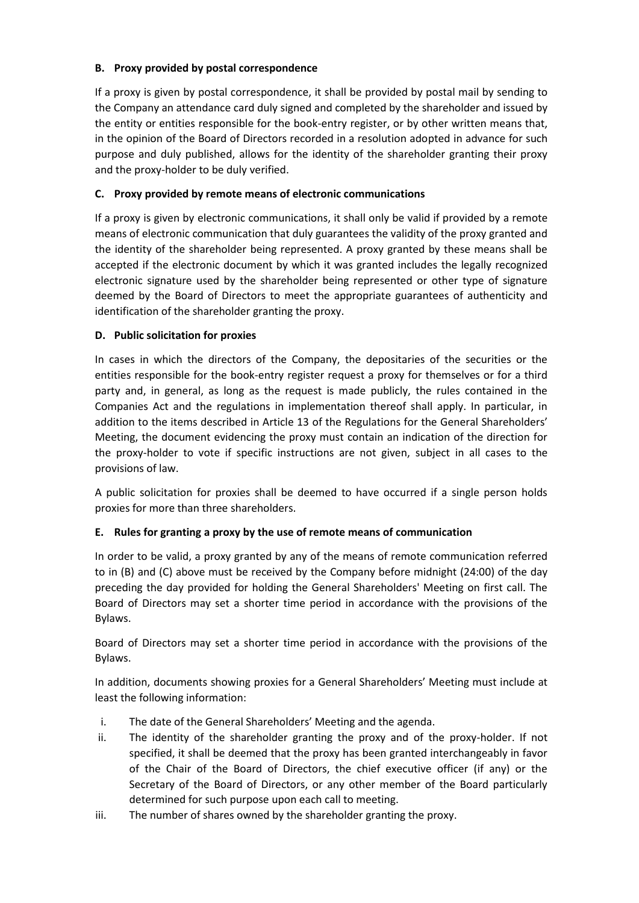## **B. Proxy provided by postal correspondence**

If a proxy is given by postal correspondence, it shall be provided by postal mail by sending to the Company an attendance card duly signed and completed by the shareholder and issued by the entity or entities responsible for the book-entry register, or by other written means that, in the opinion of the Board of Directors recorded in a resolution adopted in advance for such purpose and duly published, allows for the identity of the shareholder granting their proxy and the proxy-holder to be duly verified.

### **C. Proxy provided by remote means of electronic communications**

If a proxy is given by electronic communications, it shall only be valid if provided by a remote means of electronic communication that duly guarantees the validity of the proxy granted and the identity of the shareholder being represented. A proxy granted by these means shall be accepted if the electronic document by which it was granted includes the legally recognized electronic signature used by the shareholder being represented or other type of signature deemed by the Board of Directors to meet the appropriate guarantees of authenticity and identification of the shareholder granting the proxy.

#### **D. Public solicitation for proxies**

In cases in which the directors of the Company, the depositaries of the securities or the entities responsible for the book-entry register request a proxy for themselves or for a third party and, in general, as long as the request is made publicly, the rules contained in the Companies Act and the regulations in implementation thereof shall apply. In particular, in addition to the items described in Article 13 of the Regulations for the General Shareholders' Meeting, the document evidencing the proxy must contain an indication of the direction for the proxy-holder to vote if specific instructions are not given, subject in all cases to the provisions of law.

A public solicitation for proxies shall be deemed to have occurred if a single person holds proxies for more than three shareholders.

## **E. Rules for granting a proxy by the use of remote means of communication**

In order to be valid, a proxy granted by any of the means of remote communication referred to in (B) and (C) above must be received by the Company before midnight (24:00) of the day preceding the day provided for holding the General Shareholders' Meeting on first call. The Board of Directors may set a shorter time period in accordance with the provisions of the Bylaws.

Board of Directors may set a shorter time period in accordance with the provisions of the Bylaws.

In addition, documents showing proxies for a General Shareholders' Meeting must include at least the following information:

- i. The date of the General Shareholders' Meeting and the agenda.
- ii. The identity of the shareholder granting the proxy and of the proxy-holder. If not specified, it shall be deemed that the proxy has been granted interchangeably in favor of the Chair of the Board of Directors, the chief executive officer (if any) or the Secretary of the Board of Directors, or any other member of the Board particularly determined for such purpose upon each call to meeting.
- iii. The number of shares owned by the shareholder granting the proxy.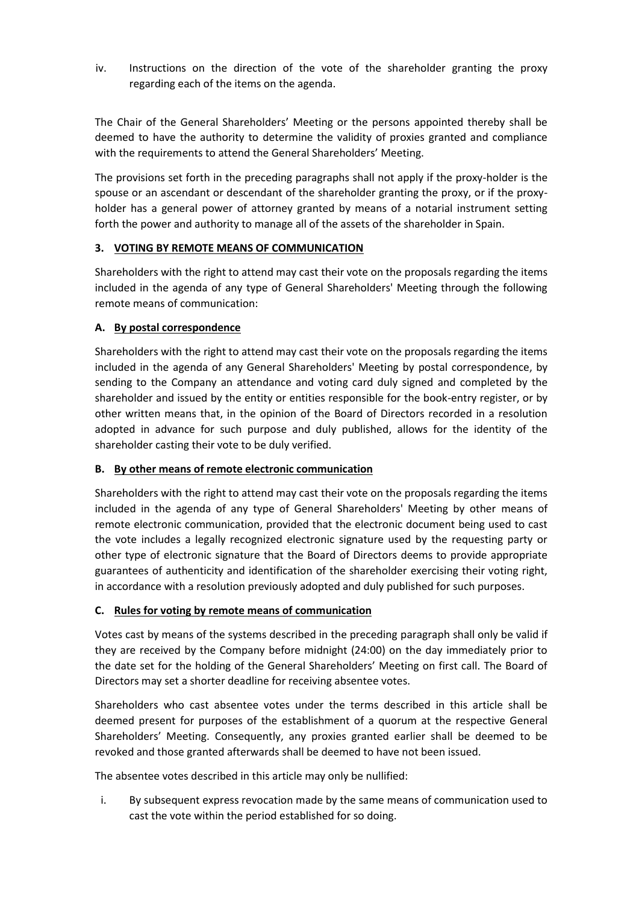iv. Instructions on the direction of the vote of the shareholder granting the proxy regarding each of the items on the agenda.

The Chair of the General Shareholders' Meeting or the persons appointed thereby shall be deemed to have the authority to determine the validity of proxies granted and compliance with the requirements to attend the General Shareholders' Meeting.

The provisions set forth in the preceding paragraphs shall not apply if the proxy-holder is the spouse or an ascendant or descendant of the shareholder granting the proxy, or if the proxyholder has a general power of attorney granted by means of a notarial instrument setting forth the power and authority to manage all of the assets of the shareholder in Spain.

# **3. VOTING BY REMOTE MEANS OF COMMUNICATION**

Shareholders with the right to attend may cast their vote on the proposals regarding the items included in the agenda of any type of General Shareholders' Meeting through the following remote means of communication:

# **A. By postal correspondence**

Shareholders with the right to attend may cast their vote on the proposals regarding the items included in the agenda of any General Shareholders' Meeting by postal correspondence, by sending to the Company an attendance and voting card duly signed and completed by the shareholder and issued by the entity or entities responsible for the book-entry register, or by other written means that, in the opinion of the Board of Directors recorded in a resolution adopted in advance for such purpose and duly published, allows for the identity of the shareholder casting their vote to be duly verified.

# **B. By other means of remote electronic communication**

Shareholders with the right to attend may cast their vote on the proposals regarding the items included in the agenda of any type of General Shareholders' Meeting by other means of remote electronic communication, provided that the electronic document being used to cast the vote includes a legally recognized electronic signature used by the requesting party or other type of electronic signature that the Board of Directors deems to provide appropriate guarantees of authenticity and identification of the shareholder exercising their voting right, in accordance with a resolution previously adopted and duly published for such purposes.

## **C. Rules for voting by remote means of communication**

Votes cast by means of the systems described in the preceding paragraph shall only be valid if they are received by the Company before midnight (24:00) on the day immediately prior to the date set for the holding of the General Shareholders' Meeting on first call. The Board of Directors may set a shorter deadline for receiving absentee votes.

Shareholders who cast absentee votes under the terms described in this article shall be deemed present for purposes of the establishment of a quorum at the respective General Shareholders' Meeting. Consequently, any proxies granted earlier shall be deemed to be revoked and those granted afterwards shall be deemed to have not been issued.

The absentee votes described in this article may only be nullified:

i. By subsequent express revocation made by the same means of communication used to cast the vote within the period established for so doing.